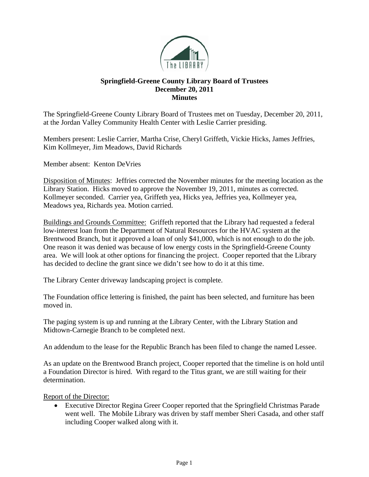

## **Springfield-Greene County Library Board of Trustees December 20, 2011 Minutes**

The Springfield-Greene County Library Board of Trustees met on Tuesday, December 20, 2011, at the Jordan Valley Community Health Center with Leslie Carrier presiding.

Members present: Leslie Carrier, Martha Crise, Cheryl Griffeth, Vickie Hicks, James Jeffries, Kim Kollmeyer, Jim Meadows, David Richards

Member absent: Kenton DeVries

Disposition of Minutes: Jeffries corrected the November minutes for the meeting location as the Library Station. Hicks moved to approve the November 19, 2011, minutes as corrected. Kollmeyer seconded. Carrier yea, Griffeth yea, Hicks yea, Jeffries yea, Kollmeyer yea, Meadows yea, Richards yea. Motion carried.

Buildings and Grounds Committee: Griffeth reported that the Library had requested a federal low-interest loan from the Department of Natural Resources for the HVAC system at the Brentwood Branch, but it approved a loan of only \$41,000, which is not enough to do the job. One reason it was denied was because of low energy costs in the Springfield-Greene County area. We will look at other options for financing the project. Cooper reported that the Library has decided to decline the grant since we didn't see how to do it at this time.

The Library Center driveway landscaping project is complete.

The Foundation office lettering is finished, the paint has been selected, and furniture has been moved in.

The paging system is up and running at the Library Center, with the Library Station and Midtown-Carnegie Branch to be completed next.

An addendum to the lease for the Republic Branch has been filed to change the named Lessee.

As an update on the Brentwood Branch project, Cooper reported that the timeline is on hold until a Foundation Director is hired. With regard to the Titus grant, we are still waiting for their determination.

Report of the Director:

 Executive Director Regina Greer Cooper reported that the Springfield Christmas Parade went well. The Mobile Library was driven by staff member Sheri Casada, and other staff including Cooper walked along with it.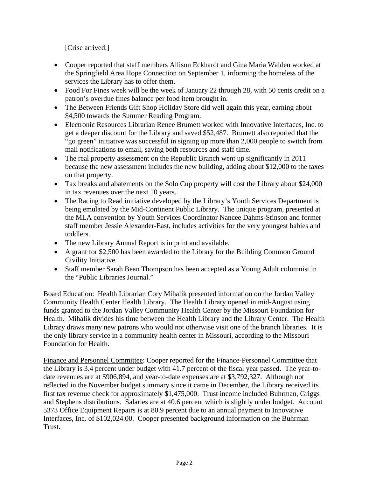[Crise arrived.]

- Cooper reported that staff members Allison Eckhardt and Gina Maria Walden worked at the Springfield Area Hope Connection on September 1, informing the homeless of the services the Library has to offer them.
- Food For Fines week will be the week of January 22 through 28, with 50 cents credit on a patron's overdue fines balance per food item brought in.
- The Between Friends Gift Shop Holiday Store did well again this year, earning about \$4,500 towards the Summer Reading Program.
- Electronic Resources Librarian Renee Brumett worked with Innovative Interfaces, Inc. to get a deeper discount for the Library and saved \$52,487. Brumett also reported that the "go green" initiative was successful in signing up more than 2,000 people to switch from mail notifications to email, saving both resources and staff time.
- The real property assessment on the Republic Branch went up significantly in 2011 because the new assessment includes the new building, adding about \$12,000 to the taxes on that property.
- Tax breaks and abatements on the Solo Cup property will cost the Library about \$24,000 in tax revenues over the next 10 years.
- The Racing to Read initiative developed by the Library's Youth Services Department is being emulated by the Mid-Continent Public Library. The unique program, presented at the MLA convention by Youth Services Coordinator Nancee Dahms-Stinson and former staff member Jessie Alexander-East, includes activities for the very youngest babies and toddlers.
- The new Library Annual Report is in print and available.
- A grant for \$2,500 has been awarded to the Library for the Building Common Ground Civility Initiative.
- Staff member Sarah Bean Thompson has been accepted as a Young Adult columnist in the "Public Libraries Journal."

Board Education: Health Librarian Cory Mihalik presented information on the Jordan Valley Community Health Center Health Library. The Health Library opened in mid-August using funds granted to the Jordan Valley Community Health Center by the Missouri Foundation for Health. Mihalik divides his time between the Health Library and the Library Center. The Health Library draws many new patrons who would not otherwise visit one of the branch libraries. It is the only library service in a community health center in Missouri, according to the Missouri Foundation for Health.

Finance and Personnel Committee: Cooper reported for the Finance-Personnel Committee that the Library is 3.4 percent under budget with 41.7 percent of the fiscal year passed. The year-todate revenues are at \$906,894, and year-to-date expenses are at \$3,792,327. Although not reflected in the November budget summary since it came in December, the Library received its first tax revenue check for approximately \$1,475,000. Trust income included Buhrman, Griggs and Stephens distributions. Salaries are at 40.6 percent which is slightly under budget. Account 5373 Office Equipment Repairs is at 80.9 percent due to an annual payment to Innovative Interfaces, Inc. of \$102,024.00. Cooper presented background information on the Buhrman Trust.